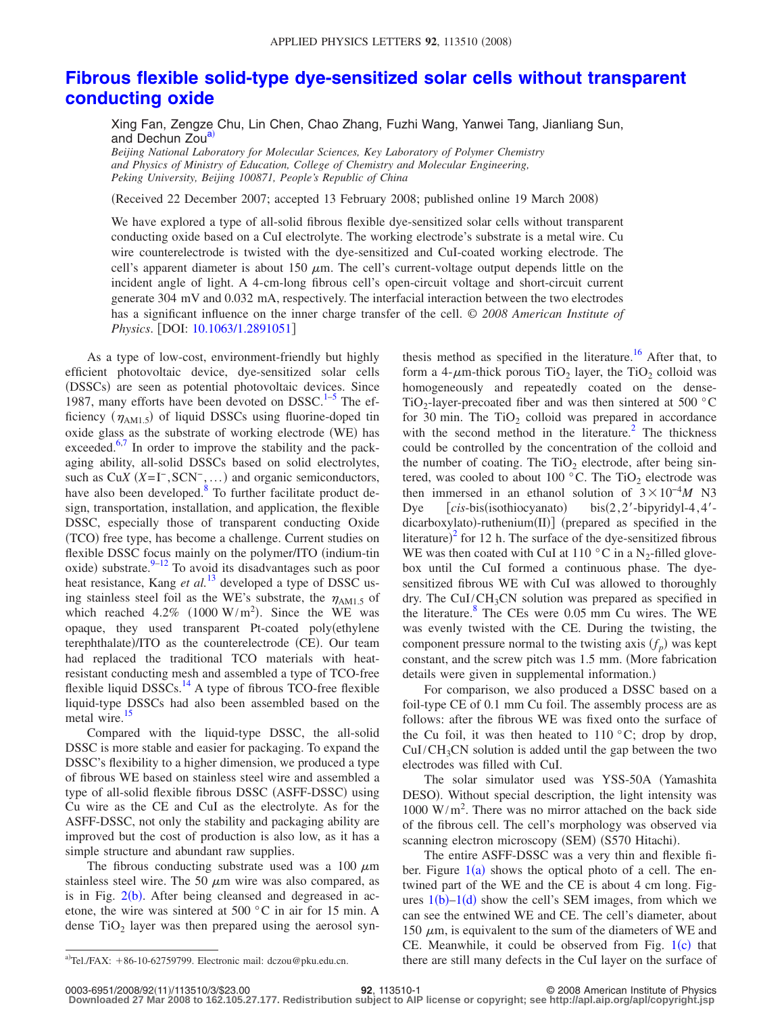## **[Fibrous flexible solid-type dye-sensitized solar cells without transparent](http://dx.doi.org/10.1063/1.2891051) [conducting oxide](http://dx.doi.org/10.1063/1.2891051)**

Xing Fan, Zengze Chu, Lin Chen, Chao Zhang, Fuzhi Wang, Yanwei Tang, Jianliang Sun, and Dechun Zou<sup>a)</sup>

*Beijing National Laboratory for Molecular Sciences, Key Laboratory of Polymer Chemistry and Physics of Ministry of Education, College of Chemistry and Molecular Engineering, Peking University, Beijing 100871, People's Republic of China*

(Received 22 December 2007; accepted 13 February 2008; published online 19 March 2008)

We have explored a type of all-solid fibrous flexible dye-sensitized solar cells without transparent conducting oxide based on a CuI electrolyte. The working electrode's substrate is a metal wire. Cu wire counterelectrode is twisted with the dye-sensitized and CuI-coated working electrode. The cell's apparent diameter is about 150  $\mu$ m. The cell's current-voltage output depends little on the incident angle of light. A 4-cm-long fibrous cell's open-circuit voltage and short-circuit current generate 304 mV and 0.032 mA, respectively. The interfacial interaction between the two electrodes has a significant influence on the inner charge transfer of the cell. © *2008 American Institute of Physics.* [DOI: [10.1063/1.2891051](http://dx.doi.org/10.1063/1.2891051)]

As a type of low-cost, environment-friendly but highly efficient photovoltaic device, dye-sensitized solar cells (DSSCs) are seen as potential photovoltaic devices. Since 1987, many efforts have been devoted on  $DSSC$ <sup>1-[5](#page-2-1)</sup> The efficiency  $(\eta_{AM1.5})$  of liquid DSSCs using fluorine-doped tin oxide glass as the substrate of working electrode (WE) has exceeded. $6,7$  $6,7$  In order to improve the stability and the packaging ability, all-solid DSSCs based on solid electrolytes, such as  $CuX (X=I^-,SCN^-, ...)$  and organic semiconductors, have also been developed.<sup>8</sup> To further facilitate product design, transportation, installation, and application, the flexible DSSC, especially those of transparent conducting Oxide (TCO) free type, has become a challenge. Current studies on flexible DSSC focus mainly on the polymer/ITO (indium-tin oxide) substrate. $9-12$  $9-12$  To avoid its disadvantages such as poor heat resistance, Kang *et al.*<sup>[13](#page-2-6)</sup> developed a type of DSSC using stainless steel foil as the WE's substrate, the  $\eta_{AM1.5}$  of which reached  $4.2\%$  (1000 W/m<sup>2</sup>). Since the WE was opaque, they used transparent Pt-coated poly(ethylene terephthalate)/ITO as the counterelectrode (CE). Our team had replaced the traditional TCO materials with heatresistant conducting mesh and assembled a type of TCO-free flexible liquid  $DSSCs$ .<sup>14</sup> A type of fibrous TCO-free flexible liquid-type DSSCs had also been assembled based on the metal wire.<sup>15</sup>

Compared with the liquid-type DSSC, the all-solid DSSC is more stable and easier for packaging. To expand the DSSC's flexibility to a higher dimension, we produced a type of fibrous WE based on stainless steel wire and assembled a type of all-solid flexible fibrous DSSC (ASFF-DSSC) using Cu wire as the CE and CuI as the electrolyte. As for the ASFF-DSSC, not only the stability and packaging ability are improved but the cost of production is also low, as it has a simple structure and abundant raw supplies.

The fibrous conducting substrate used was a 100  $\mu$ m stainless steel wire. The 50  $\mu$ m wire was also compared, as is in Fig.  $2(b)$  $2(b)$ . After being cleansed and degreased in acetone, the wire was sintered at 500 °C in air for 15 min. A dense  $TiO<sub>2</sub>$  layer was then prepared using the aerosol synthesis method as specified in the literature.<sup>16</sup> After that, to form a 4- $\mu$ m-thick porous TiO<sub>2</sub> layer, the TiO<sub>2</sub> colloid was homogeneously and repeatedly coated on the dense-TiO<sub>2</sub>-layer-precoated fiber and was then sintered at 500  $^{\circ}$ C for 30 min. The  $TiO<sub>2</sub>$  colloid was prepared in accordance with the second method in the literature. $^{2}$  The thickness could be controlled by the concentration of the colloid and the number of coating. The  $TiO<sub>2</sub>$  electrode, after being sintered, was cooled to about 100  $^{\circ}$ C. The TiO<sub>2</sub> electrode was then immersed in an ethanol solution of  $3 \times 10^{-4} M$  N3 Dye *[cis-bis(isothiocyanato)*  $bis(2, 2'-bipyridyl-4, 4'$ dicarboxylato)-ruthenium(II)] (prepared as specified in the literature)<sup>[2](#page-2-10)</sup> for 12 h. The surface of the dye-sensitized fibrous WE was then coated with CuI at 110  $\degree$ C in a N<sub>2</sub>-filled glovebox until the CuI formed a continuous phase. The dyesensitized fibrous WE with CuI was allowed to thoroughly dry. The CuI/CH<sub>3</sub>CN solution was prepared as specified in the literature.<sup>8</sup> The CEs were 0.05 mm Cu wires. The WE was evenly twisted with the CE. During the twisting, the component pressure normal to the twisting axis  $(f_p)$  was kept constant, and the screw pitch was 1.5 mm. (More fabrication details were given in supplemental information.)

For comparison, we also produced a DSSC based on a foil-type CE of 0.1 mm Cu foil. The assembly process are as follows: after the fibrous WE was fixed onto the surface of the Cu foil, it was then heated to  $110\degree C$ ; drop by drop,  $CuI/CH<sub>3</sub>CN$  solution is added until the gap between the two electrodes was filled with CuI.

The solar simulator used was YSS-50A Yamashita DESO). Without special description, the light intensity was 1000 W/m<sup>2</sup> . There was no mirror attached on the back side of the fibrous cell. The cell's morphology was observed via scanning electron microscopy (SEM) (S570 Hitachi).

The entire ASFF-DSSC was a very thin and flexible fiber. Figure  $1(a)$  $1(a)$  shows the optical photo of a cell. The entwined part of the WE and the CE is about 4 cm long. Figures  $1(b)-1(d)$  $1(b)-1(d)$  show the cell's SEM images, from which we can see the entwined WE and CE. The cell's diameter, about 150  $\mu$ m, is equivalent to the sum of the diameters of WE and CE. Meanwhile, it could be observed from Fig.  $1(c)$  $1(c)$  that there are still many defects in the CuI layer on the surface of

<span id="page-0-0"></span>Tel./FAX:  $+86-10-62759799$ . Electronic mail: dczou@pku.edu.cn.

**<sup>92</sup>**, 113510-1 © 2008 American Institute of Physics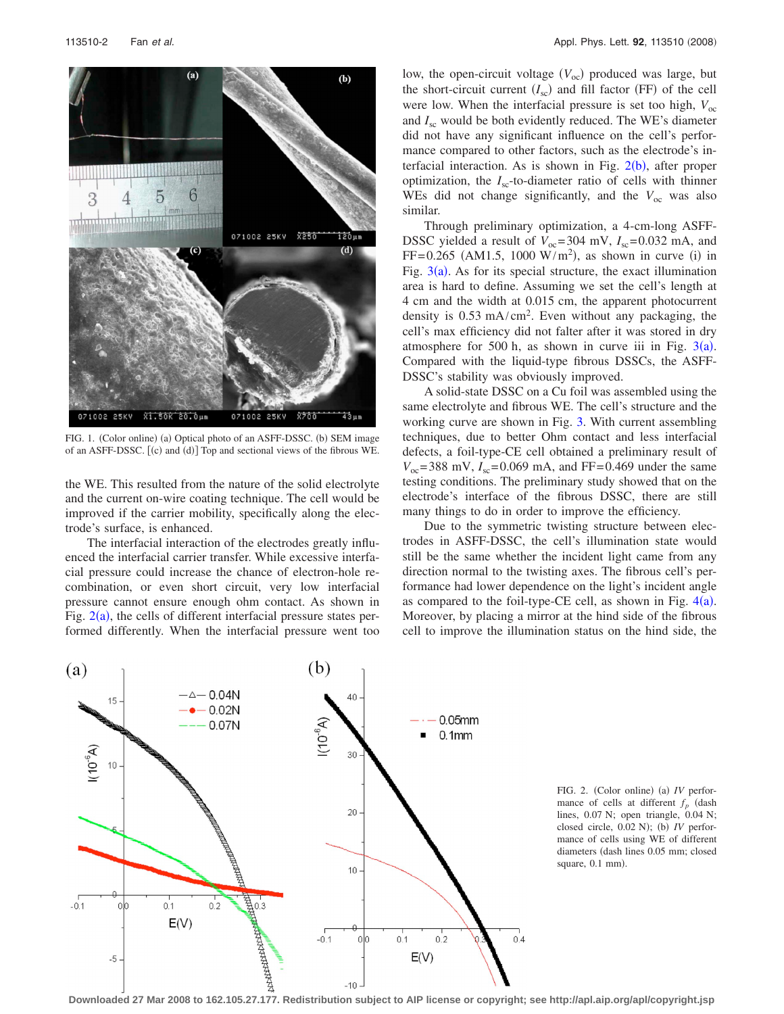<span id="page-1-1"></span>

FIG. 1. (Color online) (a) Optical photo of an ASFF-DSSC. (b) SEM image of an ASFF-DSSC. [(c) and (d)] Top and sectional views of the fibrous WE.

the WE. This resulted from the nature of the solid electrolyte and the current on-wire coating technique. The cell would be improved if the carrier mobility, specifically along the electrode's surface, is enhanced.

The interfacial interaction of the electrodes greatly influenced the interfacial carrier transfer. While excessive interfacial pressure could increase the chance of electron-hole recombination, or even short circuit, very low interfacial pressure cannot ensure enough ohm contact. As shown in Fig.  $2(a)$  $2(a)$ , the cells of different interfacial pressure states performed differently. When the interfacial pressure went too

low, the open-circuit voltage (V<sub>oc</sub>) produced was large, but the short-circuit current  $(I_{\rm sc})$  and fill factor (FF) of the cell were low. When the interfacial pressure is set too high,  $V_{\text{oc}}$ and  $I_{\rm sc}$  would be both evidently reduced. The WE's diameter did not have any significant influence on the cell's performance compared to other factors, such as the electrode's interfacial interaction. As is shown in Fig.  $2(b)$  $2(b)$ , after proper optimization, the  $I_{\rm sc}$ -to-diameter ratio of cells with thinner WEs did not change significantly, and the  $V_{\text{oc}}$  was also similar.

Through preliminary optimization, a 4-cm-long ASFF-DSSC yielded a result of  $V_{\text{oc}} = 304$  mV,  $I_{\text{sc}} = 0.032$  mA, and  $FF = 0.265$  (AM1.5, 1000 W/m<sup>2</sup>), as shown in curve (i) in Fig.  $3(a)$  $3(a)$ . As for its special structure, the exact illumination area is hard to define. Assuming we set the cell's length at 4 cm and the width at 0.015 cm, the apparent photocurrent density is  $0.53 \text{ mA/cm}^2$ . Even without any packaging, the cell's max efficiency did not falter after it was stored in dry atmosphere for 500 h, as shown in curve iii in Fig.  $3(a)$  $3(a)$ . Compared with the liquid-type fibrous DSSCs, the ASFF-DSSC's stability was obviously improved.

A solid-state DSSC on a Cu foil was assembled using the same electrolyte and fibrous WE. The cell's structure and the working curve are shown in Fig. [3.](#page-2-11) With current assembling techniques, due to better Ohm contact and less interfacial defects, a foil-type-CE cell obtained a preliminary result of  $V_{\text{oc}} = 388 \text{ mV}$ ,  $I_{\text{sc}} = 0.069 \text{ mA}$ , and FF= 0.469 under the same testing conditions. The preliminary study showed that on the electrode's interface of the fibrous DSSC, there are still many things to do in order to improve the efficiency.

Due to the symmetric twisting structure between electrodes in ASFF-DSSC, the cell's illumination state would still be the same whether the incident light came from any direction normal to the twisting axes. The fibrous cell's performance had lower dependence on the light's incident angle as compared to the foil-type-CE cell, as shown in Fig.  $4(a)$  $4(a)$ . Moreover, by placing a mirror at the hind side of the fibrous cell to improve the illumination status on the hind side, the

<span id="page-1-0"></span>

FIG. 2. (Color online) (a) IV performance of cells at different  $f_p$  (dash lines, 0.07 N; open triangle, 0.04 N; closed circle, 0.02 N); (b) IV performance of cells using WE of different diameters (dash lines 0.05 mm; closed square, 0.1 mm).